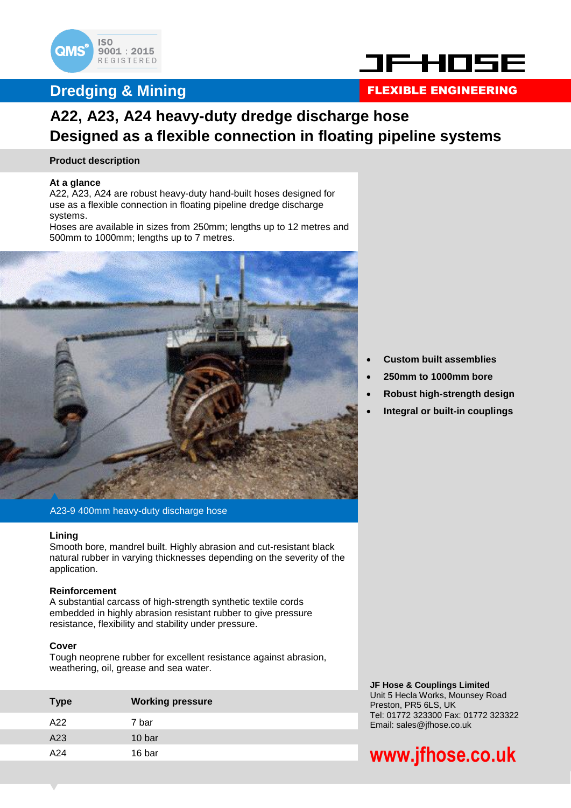

### **Dredging & Mining**



### FLEXIBLE ENGINEERING

### **A22, A23, A24 heavy-duty dredge discharge hose Designed as a flexible connection in floating pipeline systems**

#### **Product description**

#### **At a glance**

A22, A23, A24 are robust heavy-duty hand-built hoses designed for use as a flexible connection in floating pipeline dredge discharge systems.

Hoses are available in sizes from 250mm; lengths up to 12 metres and 500mm to 1000mm; lengths up to 7 metres.



A23-9 400mm heavy-duty discharge hose

#### **Lining**

Smooth bore, mandrel built. Highly abrasion and cut-resistant black natural rubber in varying thicknesses depending on the severity of the application.

#### **Reinforcement**

A substantial carcass of high-strength synthetic textile cords embedded in highly abrasion resistant rubber to give pressure resistance, flexibility and stability under pressure.

#### **Cover**

Tough neoprene rubber for excellent resistance against abrasion, weathering, oil, grease and sea water.

| <b>Type</b> | <b>Working pressure</b> |
|-------------|-------------------------|
| A22         | 7 bar                   |
| A23         | 10 bar                  |
| A24         | 16 bar                  |
|             |                         |

- **Custom built assemblies**
- **250mm to 1000mm bore**
- **Robust high-strength design**
- **Integral or built-in couplings**

**JF Hose & Couplings Limited** Unit 5 Hecla Works, Mounsey Road Preston, PR5 6LS, UK Tel: 01772 323300 Fax: 01772 323322 Email: sales@jfhose.co.uk

# **www.jfhose.co.uk**